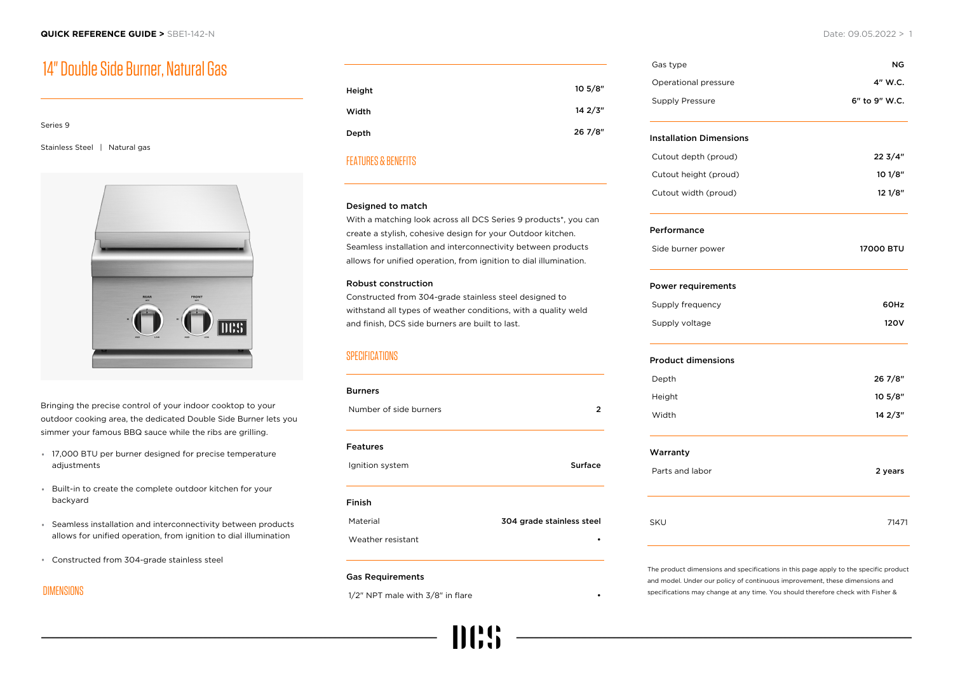# 14" Double Side Burner, Natural Gas

| Series 9               |             |
|------------------------|-------------|
|                        |             |
| <b>Stainless Steel</b> | Natural gas |



Bringing the precise control of your indoor cooktop to your outdoor cooking area, the dedicated Double Side Burner lets you simmer your famous BBQ sauce while the ribs are grilling.

- 17,000 BTU per burner designed for precise temperature adjustments
- Built-in to create the complete outdoor kitchen for your backyard
- Seamless installation and interconnectivity between products allows for unified operation, from ignition to dial illumination
- Constructed from 304-grade stainless steel

# DIMENSIONS

| Height | 10 5/8" |
|--------|---------|
| Width  | 142/3"  |
| Depth  | 26 7/8" |
|        |         |

## FEATURES & BENEFITS

#### Designed to match

With a matching look across all DCS Series 9 products\*, you can create a stylish, cohesive design for your Outdoor kitchen. Seamless installation and interconnectivity between products allows for unified operation, from ignition to dial illumination.

#### Robust construction

Constructed from 304-grade stainless steel designed to withstand all types of weather conditions, with a quality weld and finish, DCS side burners are built to last.

# **SPECIFICATIONS**

| <b>Burners</b>         |                           |
|------------------------|---------------------------|
| Number of side burners | 2                         |
| <b>Features</b>        |                           |
| Ignition system        | Surface                   |
| Finish                 |                           |
| Material               | 304 grade stainless steel |
| Weather resistant      |                           |
|                        |                           |

#### Gas Requirements

 $1/2$ " NPT male with  $3/8$ " in flare

Gas type NG Operational pressure **4" W.C.** Supply Pressure 6" to 9" W.C. Installation Dimensions Cutout depth (proud) 22 3/4" Cutout height (proud) 10 1/8" Cutout width (proud) 12 1/8" Performance Side burner power 17000 BTU Power requirements Supply frequency 60Hz Supply voltage 120V Product dimensions Depth 26 7/8" Height 10 5/8" Width **14 2/3"** Warranty Parts and labor 2 years 2 years 2 years 2 years 2 years 2 years 2 years 2 years 2 years 2 years 2 years 2 years 2 years 2 years 2 years 2 years 2 years 2 years 2 years 2 years 2 years 2 years 2 years 2 years 2 years 2 year SKU 71471

The product dimensions and specifications in this page apply to the specific product and model. Under our policy of continuous improvement, these dimensions and specifications may change at any time. You should therefore check with Fisher &